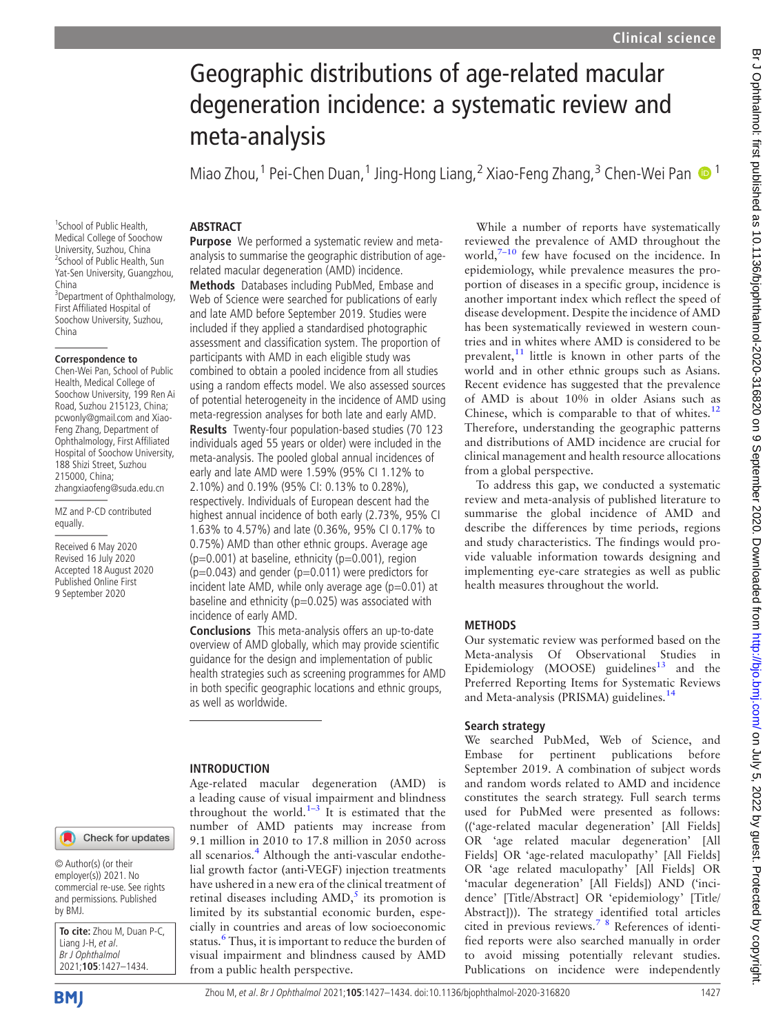# Geographic distributions of age-related macular degeneration incidence: a systematic review and meta-analysis

Miao Zhou,<sup>1</sup> Pei-Chen Duan,<sup>1</sup> Jing-Hong Liang,<sup>2</sup> Xiao-Feng Zhang,<sup>3</sup> Chen-Wei Pan  $\bullet$ <sup>1</sup>

## **ABSTRACT**

1 School of Public Health, Medical College of Soochow University, Suzhou, China 2 School of Public Health, Sun Yat-Sen University, Guangzhou, China <sup>3</sup>Department of Ophthalmology, First Affiliated Hospital of Soochow University, Suzhou, China

### **Correspondence to**

Chen-Wei Pan, School of Public Health, Medical College of Soochow University, 199 Ren Ai Road, Suzhou 215123, China; pcwonly@gmail.com and Xiao-Feng Zhang, Department of Ophthalmology, First Affiliated Hospital of Soochow University, 188 Shizi Street, Suzhou 215000, China; zhangxiaofeng@suda.edu.cn

MZ and P-CD contributed equally.

Received 6 May 2020 Revised 16 July 2020 Accepted 18 August 2020 Published Online First 9 September 2020

Purpose We performed a systematic review and metaanalysis to summarise the geographic distribution of agerelated macular degeneration (AMD) incidence.

Methods Databases including PubMed, Embase and Web of Science were searched for publications of early and late AMD before September 2019. Studies were included if they applied a standardised photographic assessment and classification system. The proportion of participants with AMD in each eligible study was combined to obtain a pooled incidence from all studies using a random effects model. We also assessed sources of potential heterogeneity in the incidence of AMD using meta-regression analyses for both late and early AMD. Results Twenty-four population-based studies (70 123 individuals aged 55 years or older) were included in the meta-analysis. The pooled global annual incidences of early and late AMD were 1.59% (95% CI 1.12% to 2.10%) and 0.19% (95% CI: 0.13% to 0.28%), respectively. Individuals of European descent had the highest annual incidence of both early (2.73%, 95% CI 1.63% to 4.57%) and late (0.36%, 95% CI 0.17% to 0.75%) AMD than other ethnic groups. Average age  $(p=0.001)$  at baseline, ethnicity  $(p=0.001)$ , region ( $p=0.043$ ) and gender ( $p=0.011$ ) were predictors for incident late AMD, while only average age  $(p=0.01)$  at

incidence of early AMD. Conclusions This meta-analysis offers an up-to-date overview of AMD globally, which may provide scientific guidance for the design and implementation of public health strategies such as screening programmes for AMD in both specific geographic locations and ethnic groups, as well as worldwide.

baseline and ethnicity ( $p=0.025$ ) was associated with

## INTRODUCTION

Age-related macular degeneration (AMD) is a leading cause of visual impairment and blindness throughout the world.<sup>[1](#page-6-0)–3</sup> It is estimated that the number of AMD patients may increase from 9.1 million in 2010 to 17.8 million in 2050 across all scenarios.<sup>[4](#page-6-1)</sup> Although the anti-vascular endothelial growth factor (anti-VEGF) injection treatments have ushered in a new era of the clinical treatment of retinal diseases including  $AMD$ ,<sup>[5](#page-6-2)</sup> its promotion is limited by its substantial economic burden, especially in countries and areas of low socioeconomic status.<sup>[6](#page-6-3)</sup> Thus, it is important to reduce the burden of visual impairment and blindness caused by AMD from a public health perspective.

While a number of reports have systematically reviewed the prevalence of AMD throughout the world, $7-10$  $7-10$  few have focused on the incidence. In epidemiology, while prevalence measures the proportion of diseases in a specific group, incidence is another important index which reflect the speed of disease development. Despite the incidence of AMD has been systematically reviewed in western countries and in whites where AMD is considered to be prevalent, $^{11}$  $^{11}$  $^{11}$  little is known in other parts of the world and in other ethnic groups such as Asians. Recent evidence has suggested that the prevalence of AMD is about 10% in older Asians such as Chinese, which is comparable to that of whites. $12$ Therefore, understanding the geographic patterns and distributions of AMD incidence are crucial for clinical management and health resource allocations from a global perspective.

To address this gap, we conducted a systematic review and meta-analysis of published literature to summarise the global incidence of AMD and describe the differences by time periods, regions and study characteristics. The findings would provide valuable information towards designing and implementing eye-care strategies as well as public health measures throughout the world.

## METHODS

Our systematic review was performed based on the Meta-analysis Of Observational Studies in Epidemiology (MOOSE) guidelines<sup>[13](#page-6-7)</sup> and the Preferred Reporting Items for Systematic Reviews and Meta-analysis (PRISMA) guidelines.<sup>1</sup>

## Search strategy

We searched PubMed, Web of Science, and Embase for pertinent publications before September 2019. A combination of subject words and random words related to AMD and incidence constitutes the search strategy. Full search terms used for PubMed were presented as follows: (('age-related macular degeneration' [All Fields] OR 'age related macular degeneration' [All Fields] OR 'age-related maculopathy' [All Fields] OR 'age related maculopathy' [All Fields] OR 'macular degeneration' [All Fields]) AND ('incidence' [Title/Abstract] OR 'epidemiology' [Title/ Abstract])). The strategy identified total articles cited in previous reviews.[7 8](#page-6-4) References of identified reports were also searched manually in order to avoid missing potentially relevant studies. Publications on incidence were independently

© Author(s) (or their employer(s)) 2021. No commercial re-use. See rights and permissions. Published by BMJ.

**To cite:** Zhou M, Duan P-C, Liang J-H, et al. Br J Ophthalmol 2021;**105**:1427–1434.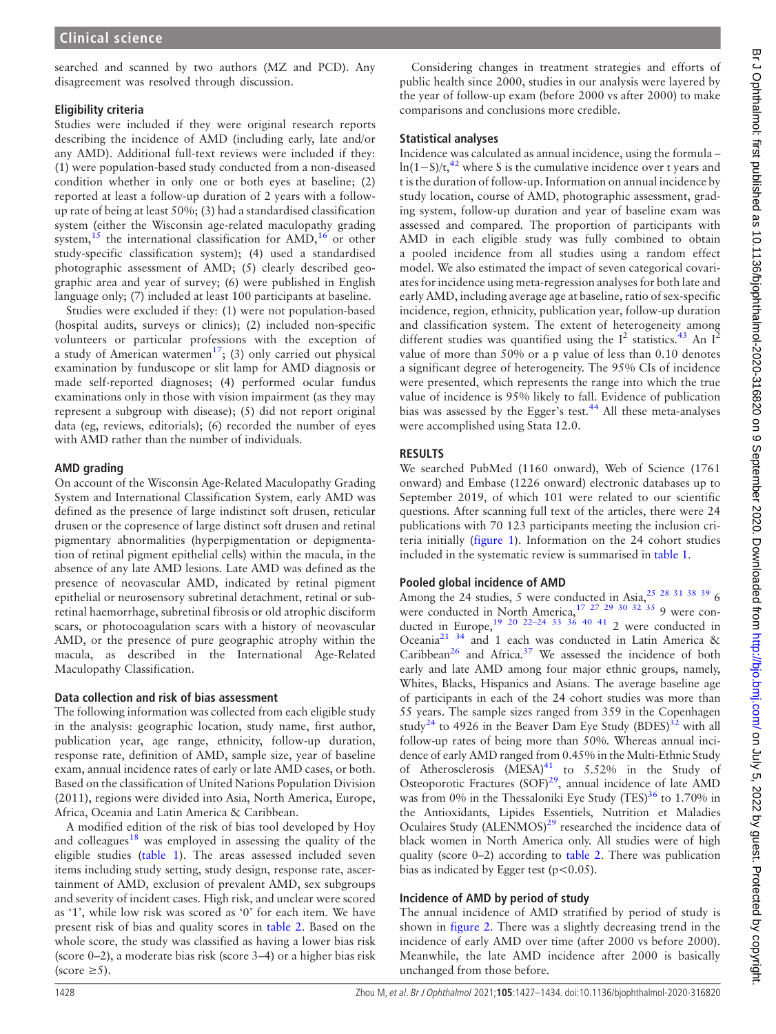searched and scanned by two authors (MZ and PCD). Any disagreement was resolved through discussion.

## Eligibility criteria

Studies were included if they were original research reports describing the incidence of AMD (including early, late and/or any AMD). Additional full-text reviews were included if they: (1) were population-based study conducted from a non-diseased condition whether in only one or both eyes at baseline; (2) reported at least a follow-up duration of 2 years with a followup rate of being at least 50%; (3) had a standardised classification system (either the Wisconsin age-related maculopathy grading system,<sup>15</sup> the international classification for  $\text{AMD}$ ,<sup>[16](#page-6-10)</sup> or other study-specific classification system); (4) used a standardised photographic assessment of AMD; (5) clearly described geographic area and year of survey; (6) were published in English language only; (7) included at least 100 participants at baseline.

Studies were excluded if they: (1) were not population-based (hospital audits, surveys or clinics); (2) included non-specific volunteers or particular professions with the exception of a study of American watermen<sup>[17](#page-6-11)</sup>; (3) only carried out physical examination by funduscope or slit lamp for AMD diagnosis or made self-reported diagnoses; (4) performed ocular fundus examinations only in those with vision impairment (as they may represent a subgroup with disease); (5) did not report original data (eg, reviews, editorials); (6) recorded the number of eyes with AMD rather than the number of individuals.

## AMD grading

On account of the Wisconsin Age-Related Maculopathy Grading System and International Classification System, early AMD was defined as the presence of large indistinct soft drusen, reticular drusen or the copresence of large distinct soft drusen and retinal pigmentary abnormalities (hyperpigmentation or depigmentation of retinal pigment epithelial cells) within the macula, in the absence of any late AMD lesions. Late AMD was defined as the presence of neovascular AMD, indicated by retinal pigment epithelial or neurosensory subretinal detachment, retinal or subretinal haemorrhage, subretinal fibrosis or old atrophic disciform scars, or photocoagulation scars with a history of neovascular AMD, or the presence of pure geographic atrophy within the macula, as described in the International Age-Related Maculopathy Classification.

## Data collection and risk of bias assessment

The following information was collected from each eligible study in the analysis: geographic location, study name, first author, publication year, age range, ethnicity, follow-up duration, response rate, definition of AMD, sample size, year of baseline exam, annual incidence rates of early or late AMD cases, or both. Based on the classification of United Nations Population Division (2011), regions were divided into Asia, North America, Europe, Africa, Oceania and Latin America & Caribbean.

A modified edition of the risk of bias tool developed by Hoy and colleagues<sup>[18](#page-6-12)</sup> was employed in assessing the quality of the eligible studies ([table 1\)](#page-2-0). The areas assessed included seven items including study setting, study design, response rate, ascertainment of AMD, exclusion of prevalent AMD, sex subgroups and severity of incident cases. High risk, and unclear were scored as '1', while low risk was scored as '0' for each item. We have present risk of bias and quality scores in [table 2.](#page-3-0) Based on the whole score, the study was classified as having a lower bias risk (score 0–2), a moderate bias risk (score 3–4) or a higher bias risk (score  $\geq 5$ ).

Considering changes in treatment strategies and efforts of public health since 2000, studies in our analysis were layered by the year of follow-up exam (before 2000 vs after 2000) to make comparisons and conclusions more credible.

## Statistical analyses

Incidence was calculated as annual incidence, using the formula – ln(1−S)/t,<sup>[42](#page-7-0)</sup> where S is the cumulative incidence over t years and t is the duration of follow-up. Information on annual incidence by study location, course of AMD, photographic assessment, grading system, follow-up duration and year of baseline exam was assessed and compared. The proportion of participants with AMD in each eligible study was fully combined to obtain a pooled incidence from all studies using a random effect model. We also estimated the impact of seven categorical covariates for incidence using meta-regression analyses for both late and early AMD, including average age at baseline, ratio of sex-specific incidence, region, ethnicity, publication year, follow-up duration and classification system. The extent of heterogeneity among different studies was quantified using the  $I^2$  statistics.<sup>[43](#page-7-1)</sup> An  $I^2$ value of more than 50% or a p value of less than 0.10 denotes a significant degree of heterogeneity. The 95% CIs of incidence were presented, which represents the range into which the true value of incidence is 95% likely to fall. Evidence of publication bias was assessed by the Egger's test.<sup>[44](#page-7-2)</sup> All these meta-analyses were accomplished using Stata 12.0.

## RESULTS

We searched PubMed (1160 onward), Web of Science (1761 onward) and Embase (1226 onward) electronic databases up to September 2019, of which 101 were related to our scientific questions. After scanning full text of the articles, there were 24 publications with 70 123 participants meeting the inclusion criteria initially ([figure 1\)](#page-4-0). Information on the 24 cohort studies included in the systematic review is summarised in [table 1](#page-2-0).

## Pooled global incidence of AMD

Among the 24 studies, 5 were conducted in Asia[,25 28 31 38 39](#page-6-13) 6 were conducted in North America,  $17 \frac{27}{29}$   $30 \frac{32}{35}$  9 were conducted in Europe,  $19\ 20\ 22-24\ 33\ 36\ 40\ 41\ 2$  were conducted in Oceania[21 34](#page-6-15) and 1 each was conducted in Latin America & Caribbean<sup>[26](#page-6-16)</sup> and Africa.<sup>[37](#page-7-3)</sup> We assessed the incidence of both early and late AMD among four major ethnic groups, namely, Whites, Blacks, Hispanics and Asians. The average baseline age of participants in each of the 24 cohort studies was more than 55 years. The sample sizes ranged from 359 in the Copenhagen study<sup>24</sup> to 4926 in the Beaver Dam Eye Study (BDES)<sup>32</sup> with all follow-up rates of being more than 50%. Whereas annual incidence of early AMD ranged from 0.45% in the Multi-Ethnic Study of Atherosclerosis  $(MESA)^{41}$  $(MESA)^{41}$  $(MESA)^{41}$  to 5.52% in the Study of Osteoporotic Fractures  $(SOF)^{29}$ , annual incidence of late AMD was from 0% in the Thessaloniki Eye Study (TES) $36$  to 1.70% in the Antioxidants, Lipides Essentiels, Nutrition et Maladies Oculaires Study (ALENMOS)<sup>[29](#page-6-19)</sup> researched the incidence data of black women in North America only. All studies were of high quality (score 0–2) according to [table 2](#page-3-0). There was publication bias as indicated by Egger test ( $p < 0.05$ ).

## Incidence of AMD by period of study

The annual incidence of AMD stratified by period of study is shown in [figure 2](#page-4-1). There was a slightly decreasing trend in the incidence of early AMD over time (after 2000 vs before 2000). Meanwhile, the late AMD incidence after 2000 is basically unchanged from those before.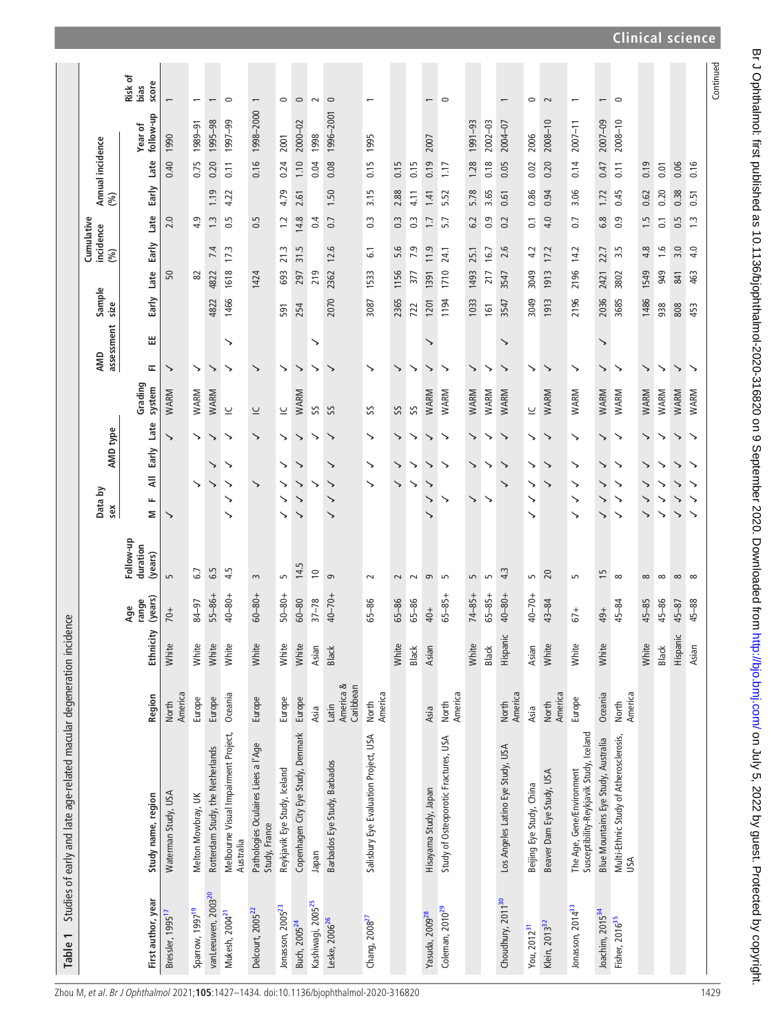<span id="page-2-0"></span>

|                                                                      |                                | Risk of<br>score<br>bias         |                              |                             | $\overline{\phantom{0}}$         | $\circ$                                           |                                                      | $\circ$                      | $\circ$                            | $\sim$                        | $\circ$                         |                                       |                  |                   |                            | $\circ$                              |                |             |                                   | $\circ$                  | $\sim$                    | $\overline{\phantom{0}}$                                             | $\overline{\phantom{0}}$            | $\circ$                                       |           |                  |           |            | Continued |
|----------------------------------------------------------------------|--------------------------------|----------------------------------|------------------------------|-----------------------------|----------------------------------|---------------------------------------------------|------------------------------------------------------|------------------------------|------------------------------------|-------------------------------|---------------------------------|---------------------------------------|------------------|-------------------|----------------------------|--------------------------------------|----------------|-------------|-----------------------------------|--------------------------|---------------------------|----------------------------------------------------------------------|-------------------------------------|-----------------------------------------------|-----------|------------------|-----------|------------|-----------|
|                                                                      |                                | follow-up<br>Year of             | 1990                         | 1989-91                     | 1995-98                          | 1997-99                                           | 1998-2000                                            | 2001                         | 2000-02                            | 1998                          | 1996-2001                       | 1995                                  |                  |                   | 2007                       |                                      | 1991-93        | $2002 - 03$ | 2004-07                           | 2006                     | $2008 - 10$               | $2007 - 11$                                                          | $2007 - 09$                         | $2008 - 10$                                   |           |                  |           |            |           |
|                                                                      | Annual incidence               | Late                             | 0.40                         | 0.75                        | 0.20                             | 0.11                                              | 0.16                                                 | 0.24                         | 1.10                               | 0.04                          | 0.08                            | 0.15                                  | 0.15             | 0.15              | 0.19                       | 1.17                                 | 1.28           | 0.18        | 0.05                              | 0.02                     | 0.20                      | 0.14                                                                 | 0.47                                | 0.11                                          | 0.19      | 0.01             | 0.06      | 0.16       |           |
|                                                                      | (%)                            | Early                            |                              |                             | 1.19                             | 4.22                                              |                                                      | 4.79                         | 2.61                               |                               | 1.50                            | 3.15                                  | 2.88             | 4.11              | 1.41                       | 5.52                                 | 5.78           | 3.65        | 0.61                              | 0.86                     | 0.94                      | 3.06                                                                 | 1.72                                | 0.45                                          | 0.62      | 0.20             | 0.38      | 0.51       |           |
|                                                                      |                                | Late                             | 2.0                          | 4.9                         | $\ddot{1}$                       | 0.5                                               | 0.5                                                  | $\ddot{ }$                   | 14.8                               | 0.4                           | 0.7                             | $\overline{0}$ .                      | $0.\overline{3}$ | $\overline{0}$ .3 | $\overline{1}$ .           | 5.7                                  | 6.2            | 0.9         | 0.2                               | $\overline{0}$ :         | 4.0                       | $\overline{0}$ .                                                     | $6.\overline{8}$                    | 0.9                                           | 1.5       | $\overline{0}$ . | 0.5       | $\ddot{1}$ |           |
|                                                                      | Cumulative<br>incidence<br>(%) | Early                            |                              |                             | 7.4                              | 17.3                                              |                                                      | 21.3                         | 31.5                               |                               | 12.6                            | 5                                     | 5.6              | 7.9               | 11.9                       | 24.1                                 | 25.1           | 16.7        | 2.6                               | 4.2                      | 17.2                      | 14.2                                                                 | 22.7                                | Lņ<br>m                                       | 4.8       | $\frac{6}{1}$    | 3.0       | 4.0        |           |
|                                                                      |                                | Late                             | 50                           | 8                           | 4822                             | 1618                                              | 1424                                                 | 693                          | 297                                | 219                           | 2362                            | 1533                                  | 1156             | 377               | 1391                       | 1710                                 | 1493           | 217         | 3547                              | 3049                     | 1913                      | 2196                                                                 | 2421                                | 3802                                          | 1549      | 949              | 841       | 463        |           |
|                                                                      | Sample<br>size                 | Early                            |                              |                             | 4822                             | 1466                                              |                                                      | 591                          | 254                                |                               | 2070                            | 3087                                  | 2365             | 722               | 1201                       | 1194                                 | 1033           | 161         | 3547                              | 3049                     | 1913                      | 2196                                                                 | 2036                                | 3685                                          | 1486      | 938              | 808       | 453        |           |
|                                                                      | assessment                     | 出                                |                              |                             |                                  | ↘                                                 |                                                      |                              |                                    | ↘                             |                                 |                                       |                  |                   | ↘                          |                                      |                |             | ↘                                 |                          |                           |                                                                      | ゝ                                   |                                               |           |                  |           |            |           |
|                                                                      | AMD                            | ᇎ                                | ↘                            | ↘                           | ↘                                | ↘                                                 | ↘                                                    | ↘                            | ↘                                  | ↘                             |                                 | ↘                                     | ↘                | ↘                 | ↘                          | ↘                                    | ↘              | ↘           | ↘                                 | ↘                        | ↘                         | ↘                                                                    | ゝ                                   | ↘                                             | ↘         | ↘                | ↘         | ↘          |           |
|                                                                      |                                | Grading<br>system                | WARM                         | WARM                        | WARM                             | $\subseteq$                                       | $\subseteq$                                          | $\subseteq$                  | WARM                               | SS                            | SS                              | SS                                    | SS               | SS                | WARM                       | WARM                                 | WARM           | WARM        | WARM                              | $\overline{\phantom{0}}$ | WARM                      | WARM                                                                 | WARM                                | WARM                                          | WARM      | WARM             | WARM      | WARM       |           |
|                                                                      | AMD type                       | Late                             | ゝ                            | ↘                           | ↘                                | ↘                                                 | ↘                                                    | ↘                            | ↘                                  | ↘                             | ↘                               | ↘                                     | ↘                | ↘                 | ↘                          | ↘                                    | ↘              | ↘           | ↘                                 | ↘                        | ↘                         | ↘                                                                    | ↘                                   | ↘                                             | ↘         | ↘                | ↘         | ↘          |           |
|                                                                      |                                | Early<br>₹                       |                              |                             | ↘                                | ↘                                                 |                                                      | ↘                            | ↘                                  |                               | ↘                               | ↘                                     | ↘                | ↘                 | ↘                          | ↘                                    | ↘              | ↘           | ↘                                 | ↘                        | ↘                         | ↘                                                                    | ↘                                   | ↘                                             | ↘         | ↘                | ゝ         | ↘          |           |
|                                                                      | Data by<br>sex                 | щ                                |                              | ↘                           | ↘                                | ↘<br>↘                                            | ↘                                                    | ↘<br>↘                       | ↘<br>↘                             |                               | ↘<br>↘                          | ↘                                     | $\rightarrow$    | ↘                 | ↘<br>↘                     | ↘                                    | ↘              | ↘           | ↘                                 | ↘<br>↘                   | ↘                         | ↘<br>↘                                                               | ↘<br>↘                              | ↘<br>↘                                        | ↘<br>↘    | ↘<br>↘           | ↘<br>↘    | ↘<br>↘     |           |
|                                                                      |                                | Σ                                | ↘                            |                             |                                  | ↘                                                 |                                                      | ↘                            | ↘                                  |                               | ↘                               |                                       |                  |                   |                            |                                      |                |             |                                   | ↘                        |                           | ↘                                                                    | ↘                                   |                                               |           | ↘                | ゝ         | ↘          |           |
|                                                                      |                                | Follow-up<br>duration<br>(years) | $\sqrt{2}$                   | 6.7                         | 6.5                              | 4.5                                               | $\sim$                                               | LO                           | 14.5                               | $\approx$                     | $\sigma$                        | 2                                     | $\sim$           | $\sim$            | $\sigma$                   | 5                                    | $\overline{5}$ | S           | 4.3                               | S                        | $\overline{c}$            | LO                                                                   | $\tilde{=}$                         | $\infty$                                      | $\infty$  | $\infty$         | $\infty$  | $\infty$   |           |
|                                                                      |                                | (years)<br>range<br>Age          | $70+$                        | 84-97                       | $55 - 86 +$                      | $40 - 80 +$                                       | $60 - 80 +$                                          | $50 - 80 +$                  | $60 - 80$                          | $37 - 78$                     | $40 - 70 +$                     | $65 - 86$                             | $65 - 86$        | $65 - 86$         | $40+$                      | $65 - 85 +$                          | $74 - 85 +$    | $65 - 85 +$ | $40 - 80 +$                       | $40 - 70 +$              | $43 - 84$                 | $67+$                                                                | 49+                                 | 45-84                                         | $45 - 85$ | $45 - 86$        | $45 - 87$ | $45 - 88$  |           |
|                                                                      |                                | Ethnicity                        | White                        | White                       | White                            | White                                             | White                                                | White                        | White                              | Asian                         | Black                           |                                       | White            | Black             | Asian                      |                                      | White          | Black       | Hispanic                          | Asian                    | White                     | White                                                                | White                               |                                               | White     | Black            | Hispanic  | Asian      |           |
|                                                                      |                                | Region                           | America<br>North             | Europe                      | Europe                           | Oceania                                           | Europe                                               | Europe                       | Europe                             | Asia                          | America &<br>Caribbean<br>Latin | America<br>North                      |                  |                   | Asia                       | North<br>America                     |                |             | America<br>North                  | Asia                     | America<br>North          | Europe                                                               | Oceania                             | America<br><b>North</b>                       |           |                  |           |            |           |
| Studies of early and late age-related macular degeneration incidence |                                | Study name, region               | Waterman Study, USA          | Melton Mowbray, UK          | Rotterdam Study, the Netherlands | Melbourne Visual Impairment Project,<br>Australia | Pathologies Oculaires Liees a l'Age<br>Study, France | Reykjavik Eye Study, Iceland | Copenhagen City Eye Study, Denmark | napan                         | Barbados Eye Study, Barbados    | Salisbury Eye Evaluation Project, USA |                  |                   | Hisayama Study, Japan      | Study of Osteoporotic Fractures, USA |                |             | Los Angeles Latino Eye Study, USA | Beijing Eye Study, China | Beaver Dam Eye Study, USA | Susceptibility-Reykjavik Study, Iceland<br>The Age, Gene/Environment | Blue Mountains Eye Study, Australia | Multi-Ethnic Study of Atherosclerosis,<br>USA |           |                  |           |            |           |
| Table 1                                                              |                                | First author, year               | Bressler, 1995 <sup>17</sup> | Sparrow, 1997 <sup>19</sup> | vanLeeuwen, 2003 <sup>20</sup>   | Mukesh, 2004 <sup>21</sup>                        | Delcourt, 2005 <sup>22</sup>                         | Jonasson, 2005 <sup>23</sup> | Buch, 2005 <sup>24</sup>           | Kashiwagi, 2005 <sup>25</sup> | Leske, 2006 <sup>26</sup>       | Chang, 2008 <sup>27</sup>             |                  |                   | Yasuda, 2009 <sup>28</sup> | Coleman, 2010 <sup>29</sup>          |                |             | Choudhury, 2011 <sup>30</sup>     | You, 2012 <sup>31</sup>  | Klein, 2013 <sup>32</sup> | Jonasson, 2014 <sup>33</sup>                                         | Joachim, 2015 <sup>34</sup>         | Fisher, 2016 <sup>35</sup>                    |           |                  |           |            |           |

Zhou M, et al. Br J Ophthalmol 2021;**105**:1427–1434. doi:10.1136/bjophthalmol-2020-316820 1429

## **Clinical science**

Br J Ophthalmol: first published as 10.1136/bjophthalmol-2020-316820 on 9 September 2020. Downloaded from http://bjo.bmj.com/ on July 5, 2022 by guest. Protected by copyright. Br Johnalmol: first published as 10.1136/bjophthalmol-2020-316820 on 9 September 2020. Downloaded from <http://bjo.bmj.com/> on July 5, 2022 by guest. Protected by copyright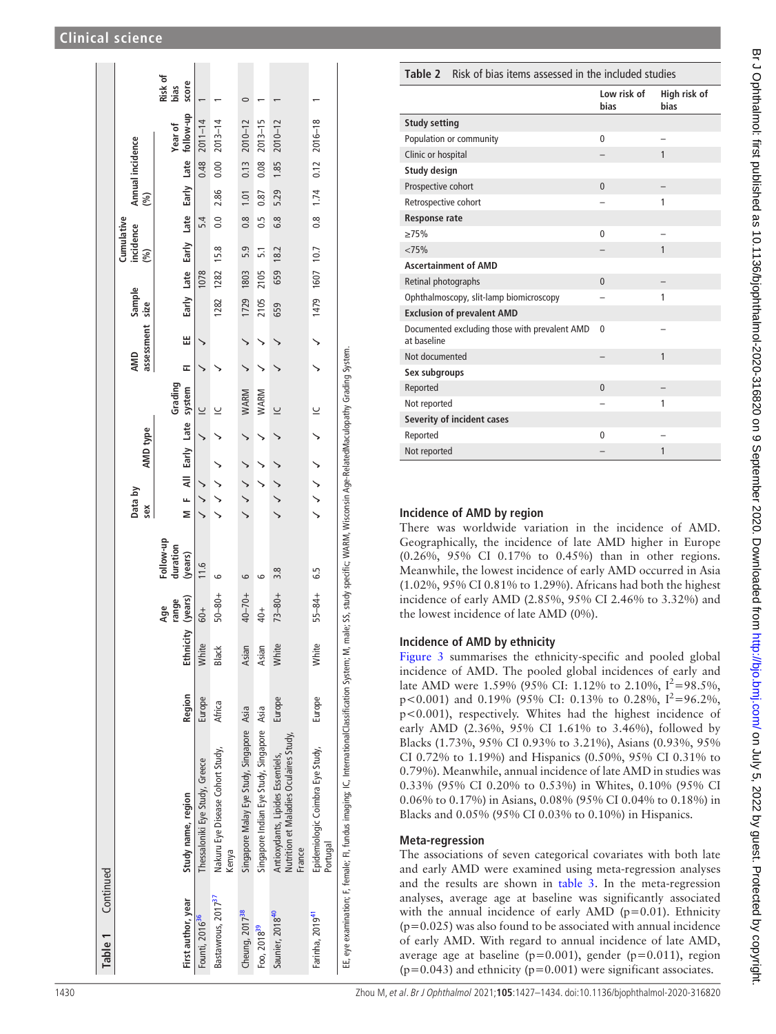| Table 1 Continued              |                                                                                                                                                                                 |        |                   |             |                     |                |                                                                                                                                                                                                                                                                                                                                                                                                                                  |                                         |     |                 |                                      |           |                  |                 |      |                                                       |               |
|--------------------------------|---------------------------------------------------------------------------------------------------------------------------------------------------------------------------------|--------|-------------------|-------------|---------------------|----------------|----------------------------------------------------------------------------------------------------------------------------------------------------------------------------------------------------------------------------------------------------------------------------------------------------------------------------------------------------------------------------------------------------------------------------------|-----------------------------------------|-----|-----------------|--------------------------------------|-----------|------------------|-----------------|------|-------------------------------------------------------|---------------|
|                                |                                                                                                                                                                                 |        |                   |             |                     |                |                                                                                                                                                                                                                                                                                                                                                                                                                                  |                                         |     |                 |                                      |           | Cumulative       |                 |      |                                                       |               |
|                                |                                                                                                                                                                                 |        |                   |             |                     | Data by<br>sex | AMD type                                                                                                                                                                                                                                                                                                                                                                                                                         |                                         | AMD | assessment size | Sample                               |           | incidence<br>(%) |                 | (%)  | Annual incidence                                      |               |
|                                |                                                                                                                                                                                 |        |                   | Age         | Follow-up           |                |                                                                                                                                                                                                                                                                                                                                                                                                                                  |                                         |     |                 |                                      |           |                  |                 |      |                                                       | Risk of       |
| First author, year             | Study name, region                                                                                                                                                              | Region | Ethnicity (years) | range       | duration<br>(years) |                |                                                                                                                                                                                                                                                                                                                                                                                                                                  | M F All Early Late system FI<br>Grading |     | W               |                                      |           |                  |                 |      | Early Late Early Late Early Late follow-up<br>Year of | score<br>bias |
| Founti, 2016 <sup>36</sup>     | Thessaloniki Eye Study, Greece                                                                                                                                                  | Europe | White             | $60+$       | 11.6                |                |                                                                                                                                                                                                                                                                                                                                                                                                                                  |                                         |     |                 |                                      | 1078      |                  | 5.4             |      | $0.48$ 2011-14                                        |               |
| Bastawrous, 2017 <sup>37</sup> | Nakuru Eye Disease Cohort Study,<br>Kenya                                                                                                                                       | Africa | Black             | $50 - 80 +$ |                     | ノンノノ           |                                                                                                                                                                                                                                                                                                                                                                                                                                  |                                         |     |                 | 1282                                 | 1282 15.8 |                  | 0.0 2.86        |      | $0.002013 - 14$                                       |               |
| Cheung, 2017 <sup>38</sup>     | Singapore Malay Eye Study, Singapore Asia                                                                                                                                       |        | Asian             | $40 - 70 +$ | م                   |                | $\begin{array}{cccccccccccccc} \sqrt{2} & \sqrt{2} & \sqrt{2} & \sqrt{2} & \sqrt{2} & \sqrt{2} & \sqrt{2} & \sqrt{2} & \sqrt{2} & \sqrt{2} & \sqrt{2} & \sqrt{2} & \sqrt{2} & \sqrt{2} & \sqrt{2} & \sqrt{2} & \sqrt{2} & \sqrt{2} & \sqrt{2} & \sqrt{2} & \sqrt{2} & \sqrt{2} & \sqrt{2} & \sqrt{2} & \sqrt{2} & \sqrt{2} & \sqrt{2} & \sqrt{2} & \sqrt{2} & \sqrt{2} & \sqrt{2} & \sqrt{2} & \sqrt{2} & \sqrt{2} & \sqrt{2} &$ | WARM                                    |     |                 | 1729 1803                            |           | 5.9              | $0.8$ 1.01 0.13 |      | $2010 - 12$                                           |               |
| Foo, 2018 <sup>39</sup>        | Singapore Indian Eye Study, Singapore Asia                                                                                                                                      |        | Asian             | $40+$       |                     |                |                                                                                                                                                                                                                                                                                                                                                                                                                                  | WARM                                    |     |                 | 2105                                 | 2105      | 5.1              | 0.5             | 0.87 | $2013 - 15$<br>0.08                                   |               |
| Saunier, 2018 <sup>40</sup>    | Nutrition et Maladies Oculaires Study,<br>Antioxydants, Lipides Essentiels,<br>France                                                                                           | Europe | White             | $73 - 80 +$ | $\frac{8}{3}$       |                |                                                                                                                                                                                                                                                                                                                                                                                                                                  |                                         |     |                 | 659                                  | 659 18.2  |                  |                 |      | 6.8 5.29 1.85 2010-12                                 |               |
| Farinha, 2019 <sup>41</sup>    | Epidemiologic Coimbra Eye Study,<br>Portugal                                                                                                                                    | Europe | White             | $55 - 84 +$ | 6.5                 |                |                                                                                                                                                                                                                                                                                                                                                                                                                                  |                                         |     |                 | $\sqrt{ }$ $\sqrt{ }$ 1479 1607 10.7 |           |                  |                 |      | $0.8$ $1.74$ $0.12$ $2016-18$                         |               |
|                                | EE, eye examination; F, female; FI, fundus imaging; IC, InternationalClassification System; M, male; SS, study specific; WARM, Wisconsin Age-RelatedMaculopathy Grading System. |        |                   |             |                     |                |                                                                                                                                                                                                                                                                                                                                                                                                                                  |                                         |     |                 |                                      |           |                  |                 |      |                                                       |               |

<span id="page-3-0"></span>

| Table 2              | Risk of bias items assessed in the included studies |                     |                      |
|----------------------|-----------------------------------------------------|---------------------|----------------------|
|                      |                                                     | Low risk of<br>bias | High risk of<br>bias |
| <b>Study setting</b> |                                                     |                     |                      |
|                      | Population or community                             | $\mathbf{0}$        |                      |
| Clinic or hospital   |                                                     |                     | 1                    |
| Study design         |                                                     |                     |                      |
| Prospective cohort   |                                                     | $\Omega$            |                      |
| Retrospective cohort |                                                     | −                   | 1                    |
| <b>Response rate</b> |                                                     |                     |                      |
| >75%                 |                                                     | $\mathbf{0}$        |                      |
| < 75%                |                                                     |                     | 1                    |
|                      | <b>Ascertainment of AMD</b>                         |                     |                      |
| Retinal photographs  |                                                     | $\overline{0}$      |                      |
|                      | Ophthalmoscopy, slit-lamp biomicroscopy             |                     | 1                    |
|                      | <b>Exclusion of prevalent AMD</b>                   |                     |                      |
| at baseline          | Documented excluding those with prevalent AMD       | $\mathbf{0}$        |                      |
| Not documented       |                                                     |                     | 1                    |
| Sex subgroups        |                                                     |                     |                      |
| Reported             |                                                     | $\overline{0}$      |                      |
| Not reported         |                                                     |                     | 1                    |
|                      | <b>Severity of incident cases</b>                   |                     |                      |
| Reported             |                                                     | $\mathbf{0}$        |                      |
| Not reported         |                                                     |                     | 1                    |

## Incidence of AMD by region

There was worldwide variation in the incidence of AMD. Geographically, the incidence of late AMD higher in Europe (0.26%, 95% CI 0.17% to 0.45%) than in other regions. Meanwhile, the lowest incidence of early AMD occurred in Asia (1.02%, 95% CI 0.81% to 1.29%). Africans had both the highest incidence of early AMD (2.85%, 95% CI 2.46% to 3.32%) and the lowest incidence of late AMD (0%).

## Incidence of AMD by ethnicity

[Figure 3](#page-5-0) summarises the ethnicity-specific and pooled global incidence of AMD. The pooled global incidences of early and late AMD were 1.59% (95% CI: 1.12% to 2.10%,  $I^2 = 98.5\%$ , p<0.001) and 0.19% (95% CI: 0.13% to 0.28%,  $I^2 = 96.2\%$ , p<0.001), respectively. Whites had the highest incidence of early AMD (2.36%, 95% CI 1.61% to 3.46%), followed by Blacks (1.73%, 95% CI 0.93% to 3.21%), Asians (0.93%, 95% CI 0.72% to 1.19%) and Hispanics (0.50%, 95% CI 0.31% to 0.79%). Meanwhile, annual incidence of late AMD in studies was 0.33% (95% CI 0.20% to 0.53%) in Whites, 0.10% (95% CI 0.06% to 0.17%) in Asians, 0.08% (95% CI 0.04% to 0.18%) in Blacks and 0.05% (95% CI 0.03% to 0.10%) in Hispanics.

## Meta-regression

The associations of seven categorical covariates with both late and early AMD were examined using meta-regression analyses and the results are shown in [table 3.](#page-5-1) In the meta-regression analyses, average age at baseline was significantly associated with the annual incidence of early AMD ( $p=0.01$ ). Ethnicity  $(p=0.025)$  was also found to be associated with annual incidence of early AMD. With regard to annual incidence of late AMD, average age at baseline ( $p=0.001$ ), gender ( $p=0.011$ ), region  $(p=0.043)$  and ethnicity  $(p=0.001)$  were significant associates.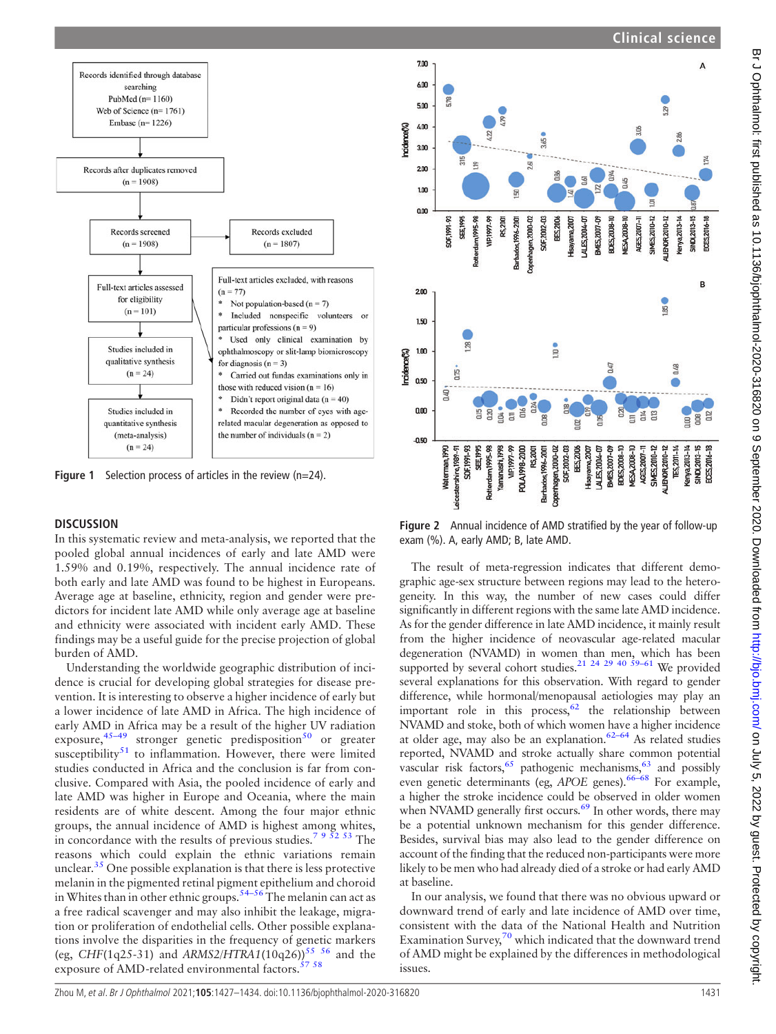<span id="page-4-0"></span>

**Figure 1** Selection process of articles in the review  $(n=24)$ .

## **DISCUSSION**

In this systematic review and meta-analysis, we reported that the pooled global annual incidences of early and late AMD were 1.59% and 0.19%, respectively. The annual incidence rate of both early and late AMD was found to be highest in Europeans. Average age at baseline, ethnicity, region and gender were predictors for incident late AMD while only average age at baseline and ethnicity were associated with incident early AMD. These findings may be a useful guide for the precise projection of global burden of AMD.

Understanding the worldwide geographic distribution of incidence is crucial for developing global strategies for disease prevention. It is interesting to observe a higher incidence of early but a lower incidence of late AMD in Africa. The high incidence of early AMD in Africa may be a result of the higher UV radiation exposure,<sup>45–[49](#page-7-10)</sup> stronger genetic predisposition<sup>[50](#page-7-11)</sup> or greater susceptibility<sup>[51](#page-7-12)</sup> to inflammation. However, there were limited studies conducted in Africa and the conclusion is far from conclusive. Compared with Asia, the pooled incidence of early and late AMD was higher in Europe and Oceania, where the main residents are of white descent. Among the four major ethnic groups, the annual incidence of AMD is highest among whites, in concordance with the results of previous studies.<sup>[7 9 52 53](#page-6-4)</sup> The reasons which could explain the ethnic variations remain unclear.<sup>[35](#page-7-6)</sup> One possible explanation is that there is less protective melanin in the pigmented retinal pigment epithelium and choroid in Whites than in other ethnic groups.<sup>[54](#page-7-13)–56</sup> The melanin can act as a free radical scavenger and may also inhibit the leakage, migration or proliferation of endothelial cells. Other possible explanations involve the disparities in the frequency of genetic markers (eg, CHF(1q25-31) and ARMS2/HTRA1(10q26))<sup>[55 56](#page-7-14)</sup> and the exposure of AMD-related environmental factors.  $57 58$ 

<span id="page-4-1"></span>

Figure 2 Annual incidence of AMD stratified by the year of follow-up exam (%). A, early AMD; B, late AMD.

The result of meta-regression indicates that different demographic age-sex structure between regions may lead to the heterogeneity. In this way, the number of new cases could differ significantly in different regions with the same late AMD incidence. As for the gender difference in late AMD incidence, it mainly result from the higher incidence of neovascular age-related macular degeneration (NVAMD) in women than men, which has been supported by several cohort studies.<sup>21 24 29 40 59-61</sup> We provided several explanations for this observation. With regard to gender difference, while hormonal/menopausal aetiologies may play an important role in this process,  $62$  the relationship between NVAMD and stoke, both of which women have a higher incidence at older age, may also be an explanation. $62-64$  $62-64$  As related studies reported, NVAMD and stroke actually share common potential vascular risk factors,  $65$  pathogenic mechanisms,  $63$  and possibly even genetic determinants (eg, APOE genes).<sup>[66](#page-7-19)–68</sup> For example, a higher the stroke incidence could be observed in older women when NVAMD generally first occurs.<sup>[69](#page-7-20)</sup> In other words, there may be a potential unknown mechanism for this gender difference. Besides, survival bias may also lead to the gender difference on account of the finding that the reduced non-participants were more likely to be men who had already died of a stroke or had early AMD at baseline.

In our analysis, we found that there was no obvious upward or downward trend of early and late incidence of AMD over time, consistent with the data of the National Health and Nutrition Examination Survey, $70$  which indicated that the downward trend of AMD might be explained by the differences in methodological issues.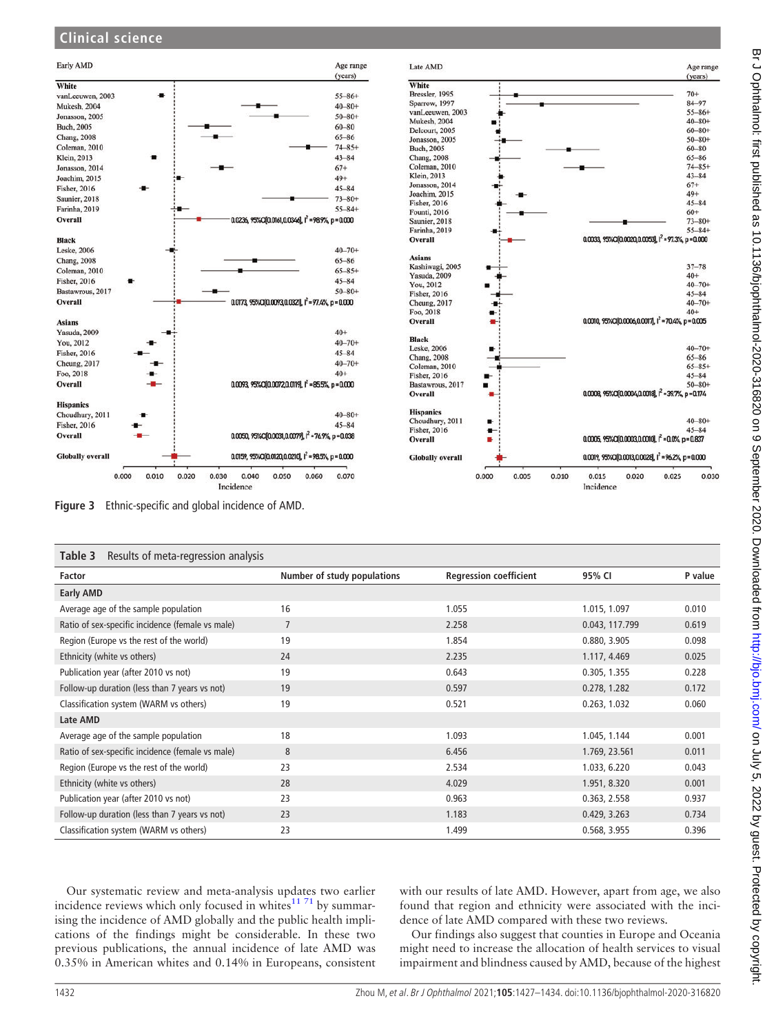## **Clinical science**

<span id="page-5-0"></span>



<span id="page-5-1"></span>

| Results of meta-regression analysis<br>Table 3   |                             |                               |                |         |
|--------------------------------------------------|-----------------------------|-------------------------------|----------------|---------|
| Factor                                           | Number of study populations | <b>Regression coefficient</b> | 95% CI         | P value |
| <b>Early AMD</b>                                 |                             |                               |                |         |
| Average age of the sample population             | 16                          | 1.055                         | 1.015, 1.097   | 0.010   |
| Ratio of sex-specific incidence (female vs male) | $\overline{7}$              | 2.258                         | 0.043, 117.799 | 0.619   |
| Region (Europe vs the rest of the world)         | 19                          | 1.854                         | 0.880, 3.905   | 0.098   |
| Ethnicity (white vs others)                      | 24                          | 2.235                         | 1.117, 4.469   | 0.025   |
| Publication year (after 2010 vs not)             | 19                          | 0.643                         | 0.305, 1.355   | 0.228   |
| Follow-up duration (less than 7 years vs not)    | 19                          | 0.597                         | 0.278, 1.282   | 0.172   |
| Classification system (WARM vs others)           | 19                          | 0.521                         | 0.263, 1.032   | 0.060   |
| Late AMD                                         |                             |                               |                |         |
| Average age of the sample population             | 18                          | 1.093                         | 1.045, 1.144   | 0.001   |
| Ratio of sex-specific incidence (female vs male) | 8                           | 6.456                         | 1.769, 23.561  | 0.011   |
| Region (Europe vs the rest of the world)         | 23                          | 2.534                         | 1.033, 6.220   | 0.043   |
| Ethnicity (white vs others)                      | 28                          | 4.029                         | 1.951, 8.320   | 0.001   |
| Publication year (after 2010 vs not)             | 23                          | 0.963                         | 0.363, 2.558   | 0.937   |
| Follow-up duration (less than 7 years vs not)    | 23                          | 1.183                         | 0.429, 3.263   | 0.734   |
| Classification system (WARM vs others)           | 23                          | 1.499                         | 0.568, 3.955   | 0.396   |

Our systematic review and meta-analysis updates two earlier incidence reviews which only focused in whites $1171$  by summarising the incidence of AMD globally and the public health implications of the findings might be considerable. In these two previous publications, the annual incidence of late AMD was 0.35% in American whites and 0.14% in Europeans, consistent

with our results of late AMD. However, apart from age, we also found that region and ethnicity were associated with the incidence of late AMD compared with these two reviews.

Our findings also suggest that counties in Europe and Oceania might need to increase the allocation of health services to visual impairment and blindness caused by AMD, because of the highest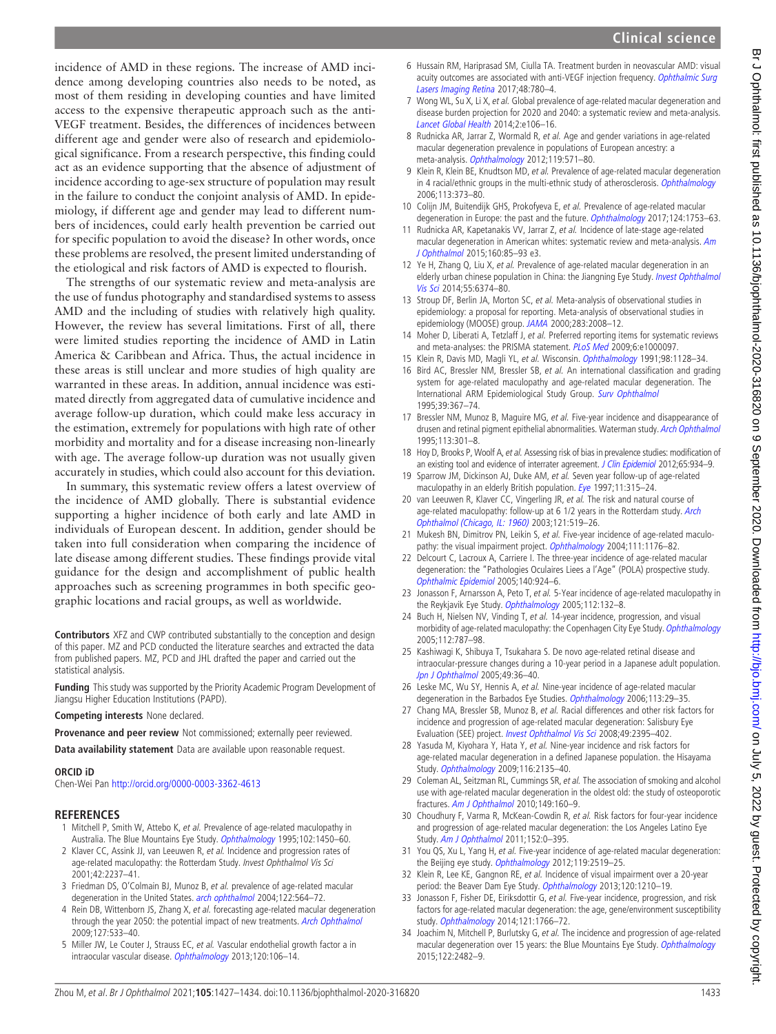## **Clinical science**

incidence of AMD in these regions. The increase of AMD incidence among developing countries also needs to be noted, as most of them residing in developing counties and have limited access to the expensive therapeutic approach such as the anti-VEGF treatment. Besides, the differences of incidences between different age and gender were also of research and epidemiological significance. From a research perspective, this finding could act as an evidence supporting that the absence of adjustment of incidence according to age-sex structure of population may result in the failure to conduct the conjoint analysis of AMD. In epidemiology, if different age and gender may lead to different numbers of incidences, could early health prevention be carried out for specific population to avoid the disease? In other words, once these problems are resolved, the present limited understanding of the etiological and risk factors of AMD is expected to flourish.

The strengths of our systematic review and meta-analysis are the use of fundus photography and standardised systems to assess AMD and the including of studies with relatively high quality. However, the review has several limitations. First of all, there were limited studies reporting the incidence of AMD in Latin America & Caribbean and Africa. Thus, the actual incidence in these areas is still unclear and more studies of high quality are warranted in these areas. In addition, annual incidence was estimated directly from aggregated data of cumulative incidence and average follow-up duration, which could make less accuracy in the estimation, extremely for populations with high rate of other morbidity and mortality and for a disease increasing non-linearly with age. The average follow-up duration was not usually given accurately in studies, which could also account for this deviation.

In summary, this systematic review offers a latest overview of the incidence of AMD globally. There is substantial evidence supporting a higher incidence of both early and late AMD in individuals of European descent. In addition, gender should be taken into full consideration when comparing the incidence of late disease among different studies. These findings provide vital guidance for the design and accomplishment of public health approaches such as screening programmes in both specific geographic locations and racial groups, as well as worldwide.

Contributors XFZ and CWP contributed substantially to the conception and design of this paper. MZ and PCD conducted the literature searches and extracted the data from published papers. MZ, PCD and JHL drafted the paper and carried out the statistical analysis.

Funding This study was supported by the Priority Academic Program Development of Jiangsu Higher Education Institutions (PAPD).

Competing interests None declared.

Provenance and peer review Not commissioned; externally peer reviewed.

Data availability statement Data are available upon reasonable request.

## ORCID iD

Chen-Wei Pan <http://orcid.org/0000-0003-3362-4613>

## **REFERENCES**

- <span id="page-6-0"></span>1 Mitchell P, Smith W, Attebo K, et al. Prevalence of age-related maculopathy in Australia. The Blue Mountains Eye Study. [Ophthalmology](https://dx.doi.org/10.1016/S0161-6420(95)30846-9) 1995;102:1450-60.
- 2 Klaver CC, Assink JJ, van Leeuwen R, et al. Incidence and progression rates of age-related maculopathy: the Rotterdam Study. Invest Ophthalmol Vis Sci 2001;42:2237–41.
- 3 Friedman DS, O'Colmain BJ, Munoz B, et al. prevalence of age-related macular degeneration in the United States. [arch ophthalmol](https://dx.doi.org/10.1001/archopht.122.4.564) 2004;122:564-72.
- <span id="page-6-1"></span>4 Rein DB, Wittenborn JS, Zhang X, et al. forecasting age-related macular degeneration through the year 2050: the potential impact of new treatments. [Arch Ophthalmol](https://dx.doi.org/10.1001/archophthalmol.2009.58) 2009;127:533–40.
- <span id="page-6-2"></span>5 Miller JW, Le Couter J, Strauss EC, et al. Vascular endothelial growth factor a in intraocular vascular disease. [Ophthalmology](https://dx.doi.org/10.1016/j.ophtha.2012.07.038) 2013;120:106-14.
- <span id="page-6-3"></span>6 Hussain RM, Hariprasad SM, Ciulla TA. Treatment burden in neovascular AMD: visual acuity outcomes are associated with anti-VEGF injection frequency. [Ophthalmic Surg](https://dx.doi.org/10.3928/23258160-20170928-01) [Lasers Imaging Retina](https://dx.doi.org/10.3928/23258160-20170928-01) 2017;48:780-4.
- <span id="page-6-4"></span>7 Wong WL, Su X, Li X, et al. Global prevalence of age-related macular degeneration and disease burden projection for 2020 and 2040: a systematic review and meta-analysis. [Lancet Global Health](https://dx.doi.org/10.1016/S2214-109X(13)70145-1) 2014;2:e106–16.
- 8 Rudnicka AR, Jarrar Z, Wormald R, et al. Age and gender variations in age-related macular degeneration prevalence in populations of European ancestry: a meta-analysis. [Ophthalmology](https://dx.doi.org/10.1016/j.ophtha.2011.09.027) 2012;119:571-80.
- 9 Klein R, Klein BE, Knudtson MD, et al. Prevalence of age-related macular degeneration in 4 racial/ethnic groups in the multi-ethnic study of atherosclerosis. [Ophthalmology](https://dx.doi.org/10.1016/j.ophtha.2005.12.013) 2006;113:373–80.
- 10 Colijn JM, Buitendijk GHS, Prokofyeva E, et al. Prevalence of age-related macular degeneration in Europe: the past and the future. [Ophthalmology](https://dx.doi.org/10.1016/j.ophtha.2017.05.035) 2017;124:1753-63.
- <span id="page-6-5"></span>11 Rudnicka AR, Kapetanakis VV, Jarrar Z, et al. Incidence of late-stage age-related macular degeneration in American whites: systematic review and meta-analysis. [Am](https://dx.doi.org/10.1016/j.ajo.2015.04.003) [J Ophthalmol](https://dx.doi.org/10.1016/j.ajo.2015.04.003) 2015;160:85–93 e3.
- <span id="page-6-6"></span>12 Ye H, Zhang Q, Liu X, et al. Prevalence of age-related macular degeneration in an elderly urban chinese population in China: the Jiangning Eye Study. *[Invest Ophthalmol](https://dx.doi.org/10.1167/iovs.14-14899)* [Vis Sci](https://dx.doi.org/10.1167/iovs.14-14899) 2014;55:6374–80.
- <span id="page-6-7"></span>13 Stroup DF, Berlin JA, Morton SC, et al. Meta-analysis of observational studies in epidemiology: a proposal for reporting. Meta-analysis of observational studies in epidemiology (MOOSE) group. [JAMA](https://dx.doi.org/10.1001/jama.283.15.2008) 2000;283:2008-12.
- <span id="page-6-8"></span>14 Moher D, Liberati A, Tetzlaff J, et al. Preferred reporting items for systematic reviews and meta-analyses: the PRISMA statement. [PLoS Med](https://dx.doi.org/10.1371/journal.pmed.1000097) 2009;6:e1000097.
- <span id="page-6-9"></span>15 Klein R, Davis MD, Magli YL, et al. Wisconsin. [Ophthalmology](https://dx.doi.org/10.1016/s0161-6420(91)32186-9) 1991;98:1128-34.
- <span id="page-6-10"></span>16 Bird AC, Bressler NM, Bressler SB, et al. An international classification and grading system for age-related maculopathy and age-related macular degeneration. The International ARM Epidemiological Study Group. [Surv Ophthalmol](https://dx.doi.org/10.1016/S0039-6257(05)80092-X) 1995;39:367–74.
- <span id="page-6-11"></span>17 Bressler NM, Munoz B, Maguire MG, et al. Five-year incidence and disappearance of drusen and retinal pigment epithelial abnormalities. Waterman study. [Arch Ophthalmol](https://dx.doi.org/10.1001/archopht.1995.01100030055022) 1995;113:301–8.
- <span id="page-6-12"></span>18 Hoy D, Brooks P, Woolf A, et al. Assessing risk of bias in prevalence studies: modification of an existing tool and evidence of interrater agreement. [J Clin Epidemiol](https://dx.doi.org/10.1016/j.jclinepi.2011.11.014) 2012;65:934-9.
- <span id="page-6-14"></span>19 Sparrow JM, Dickinson AJ, Duke AM, et al. Seven year follow-up of age-related maculopathy in an elderly British population. [Eye](https://dx.doi.org/10.1038/eye.1997.67) 1997;11:315-24.
- <span id="page-6-20"></span>20 van Leeuwen R, Klaver CC, Vingerling JR, et al. The risk and natural course of age-related maculopathy: follow-up at 6 1/2 years in the Rotterdam study. [Arch](https://dx.doi.org/10.1001/archopht.121.4.519) [Ophthalmol \(Chicago, IL: 1960\)](https://dx.doi.org/10.1001/archopht.121.4.519) 2003;121:519–26.
- <span id="page-6-15"></span>21 Mukesh BN, Dimitrov PN, Leikin S, et al. Five-year incidence of age-related maculo-pathy: the visual impairment project. [Ophthalmology](https://dx.doi.org/10.1016/j.ophtha.2003.08.042) 2004;111:1176-82.
- <span id="page-6-21"></span>22 Delcourt C, Lacroux A, Carriere I. The three-year incidence of age-related macular degeneration: the "Pathologies Oculaires Liees a l'Age" (POLA) prospective study. [Ophthalmic Epidemiol](https://dx.doi.org/10.1016/j.ajo.2005.05.002) 2005;140:924–6.
- <span id="page-6-22"></span>23 Jonasson F, Arnarsson A, Peto T, et al. 5-Year incidence of age-related maculopathy in the Reykjavik Eye Study. [Ophthalmology](https://dx.doi.org/10.1016/j.ophtha.2004.07.020) 2005;112:132-8.
- <span id="page-6-17"></span>24 Buch H, Nielsen NV, Vinding T, et al. 14-year incidence, progression, and visual morbidity of age-related maculopathy: the Copenhagen City Eye Study. [Ophthalmology](https://dx.doi.org/10.1016/j.ophtha.2004.11.040) 2005;112:787–98.
- <span id="page-6-13"></span>25 Kashiwagi K, Shibuya T, Tsukahara S. De novo age-related retinal disease and intraocular-pressure changes during a 10-year period in a Japanese adult population. [Jpn J Ophthalmol](https://dx.doi.org/10.1007/s10384-004-0143-2) 2005;49:36-40.
- <span id="page-6-16"></span>26 Leske MC, Wu SY, Hennis A, et al. Nine-year incidence of age-related macular degeneration in the Barbados Eye Studies. [Ophthalmology](https://dx.doi.org/10.1016/j.ophtha.2005.08.012) 2006;113:29-35.
- <span id="page-6-23"></span>27 Chang MA, Bressler SB, Munoz B, et al. Racial differences and other risk factors for incidence and progression of age-related macular degeneration: Salisbury Eye Evaluation (SEE) project. [Invest Ophthalmol Vis Sci](https://dx.doi.org/10.1167/iovs.07-1584) 2008;49:2395–402.
- <span id="page-6-24"></span>28 Yasuda M, Kiyohara Y, Hata Y, et al. Nine-year incidence and risk factors for age-related macular degeneration in a defined Japanese population. the Hisayama Study. [Ophthalmology](https://dx.doi.org/10.1016/j.ophtha.2009.04.017) 2009;116:2135–40.
- <span id="page-6-19"></span>29 Coleman AL, Seitzman RL, Cummings SR, et al. The association of smoking and alcohol use with age-related macular degeneration in the oldest old: the study of osteoporotic fractures. [Am J Ophthalmol](https://dx.doi.org/10.1016/j.ajo.2009.07.025) 2010;149:160–9.
- <span id="page-6-25"></span>30 Choudhury F, Varma R, McKean-Cowdin R, et al. Risk factors for four-year incidence and progression of age-related macular degeneration: the Los Angeles Latino Eye Study. [Am J Ophthalmol](https://dx.doi.org/10.1016/j.ajo.2011.02.025) 2011;152:0–395.
- <span id="page-6-26"></span>31 You QS, Xu L, Yang H, et al. Five-year incidence of age-related macular degeneration: the Beijing eye study. [Ophthalmology](https://dx.doi.org/10.1016/j.ophtha.2012.06.043) 2012;119:2519-25.
- <span id="page-6-18"></span>32 Klein R, Lee KE, Gangnon RE, et al. Incidence of visual impairment over a 20-year period: the Beaver Dam Eye Study. [Ophthalmology](https://dx.doi.org/10.1016/j.ophtha.2012.11.041.) 2013;120:1210-19.
- <span id="page-6-27"></span>33 Jonasson F, Fisher DE, Eiriksdottir G, et al. Five-year incidence, progression, and risk factors for age-related macular degeneration: the age, gene/environment susceptibility study. [Ophthalmology](https://dx.doi.org/10.1016/j.ophtha.2014.03.013) 2014;121:1766–72.
- <span id="page-6-28"></span>34 Joachim N, Mitchell P, Burlutsky G, et al. The incidence and progression of age-related macular degeneration over 15 years: the Blue Mountains Eye Study. [Ophthalmology](https://dx.doi.org/10.1016/j.ophtha.2015.08.002) 2015;122:2482–9.